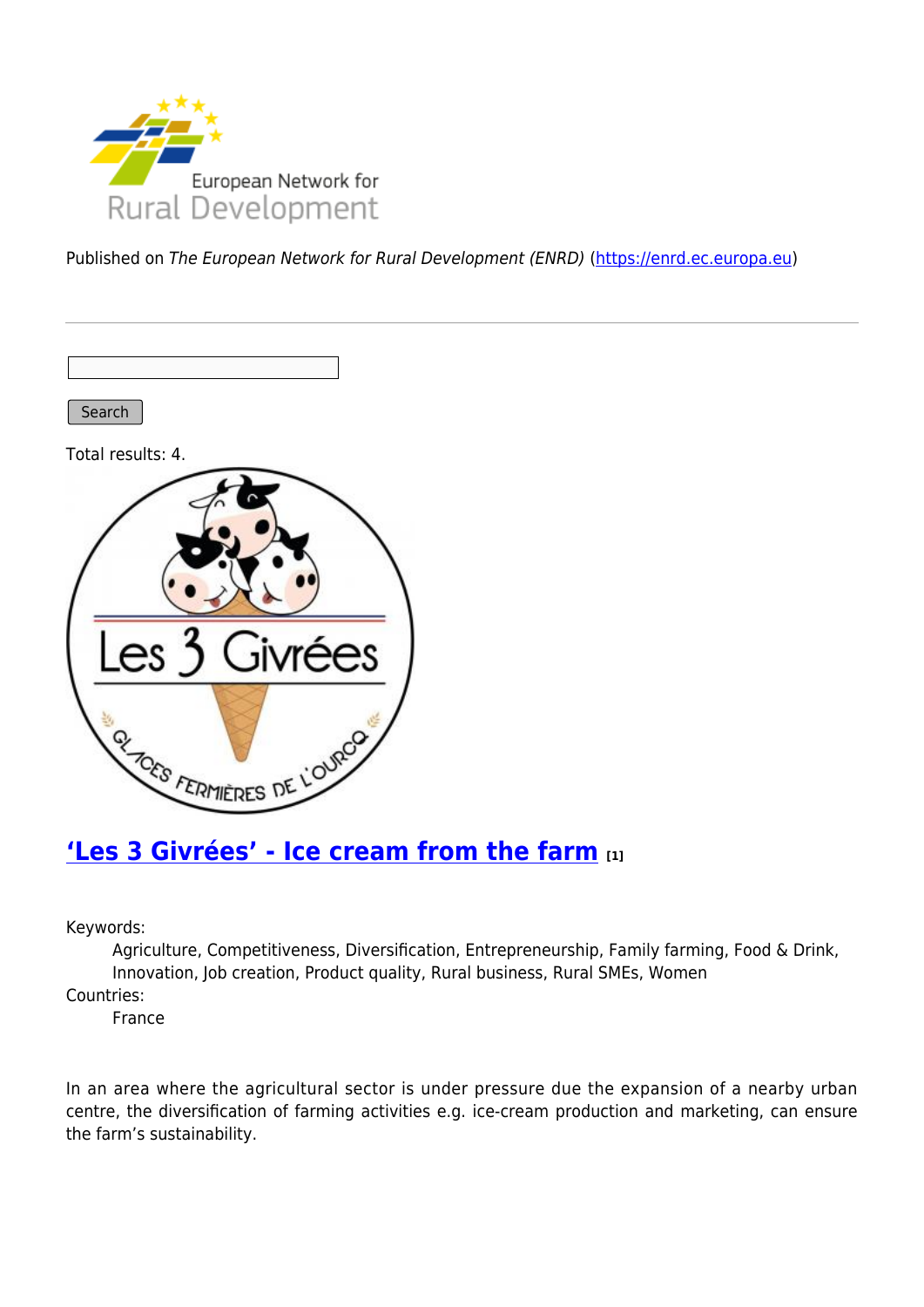

Published on The European Network for Rural Development (ENRD) [\(https://enrd.ec.europa.eu](https://enrd.ec.europa.eu))

Search

Total results: 4.



### **['Les 3 Givrées' - Ice cream from the farm](https://enrd.ec.europa.eu/projects-practice/les-3-givrees-ice-cream-farm_en) [1]**

Keywords:

Agriculture, Competitiveness, Diversification, Entrepreneurship, Family farming, Food & Drink, Innovation, Job creation, Product quality, Rural business, Rural SMEs, Women

Countries:

France

In an area where the agricultural sector is under pressure due the expansion of a nearby urban centre, the diversification of farming activities e.g. ice-cream production and marketing, can ensure the farm's sustainability.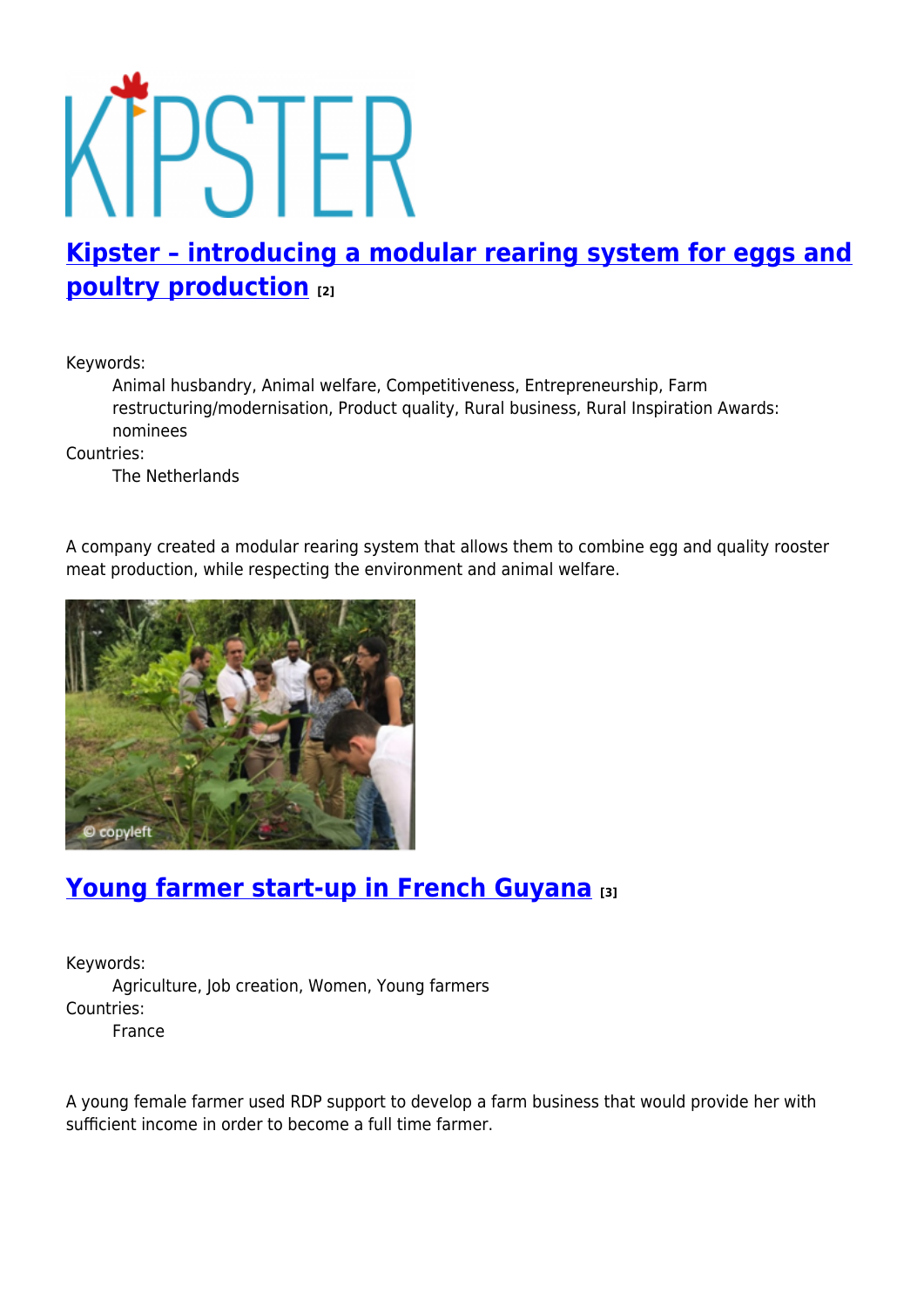# KTPSTER

# **[Kipster – introducing a modular rearing system for eggs and](https://enrd.ec.europa.eu/projects-practice/kipster-introducing-modular-rearing-system-eggs-and-poultry-production_en) [poultry production](https://enrd.ec.europa.eu/projects-practice/kipster-introducing-modular-rearing-system-eggs-and-poultry-production_en) [2]**

Keywords:

Animal husbandry, Animal welfare, Competitiveness, Entrepreneurship, Farm restructuring/modernisation, Product quality, Rural business, Rural Inspiration Awards: nominees

Countries:

The Netherlands

A company created a modular rearing system that allows them to combine egg and quality rooster meat production, while respecting the environment and animal welfare.



# **[Young farmer start-up in French Guyana](https://enrd.ec.europa.eu/projects-practice/young-farmer-start-french-guyana_en) [3]**

Keywords: Agriculture, Job creation, Women, Young farmers Countries:

France

A young female farmer used RDP support to develop a farm business that would provide her with sufficient income in order to become a full time farmer.